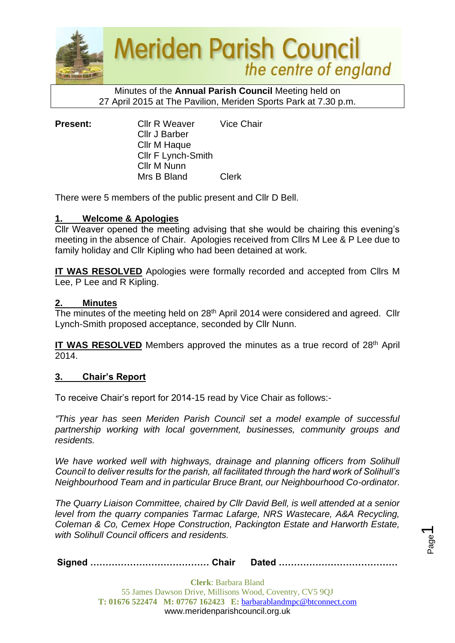

**Meriden Parish Council** the centre of england

Minutes of the **Annual Parish Council** Meeting held on 27 April 2015 at The Pavilion, Meriden Sports Park at 7.30 p.m.

**Present:** Cllr R Weaver Vice Chair Cllr J Barber Cllr M Haque Cllr F Lynch-Smith Cllr M Nunn Mrs B Bland Clerk

There were 5 members of the public present and Cllr D Bell.

## **1. Welcome & Apologies**

Cllr Weaver opened the meeting advising that she would be chairing this evening's meeting in the absence of Chair. Apologies received from Cllrs M Lee & P Lee due to family holiday and Cllr Kipling who had been detained at work.

**IT WAS RESOLVED** Apologies were formally recorded and accepted from Cllrs M Lee, P Lee and R Kipling.

## **2. Minutes**

The minutes of the meeting held on 28th April 2014 were considered and agreed. Cllr Lynch-Smith proposed acceptance, seconded by Cllr Nunn.

IT WAS RESOLVED Members approved the minutes as a true record of 28<sup>th</sup> April  $\overline{2014}$ .

## **3. Chair's Report**

To receive Chair's report for 2014-15 read by Vice Chair as follows:-

*"This year has seen Meriden Parish Council set a model example of successful partnership working with local government, businesses, community groups and residents.* 

We have worked well with highways, drainage and planning officers from Solihull *Council to deliver results for the parish, all facilitated through the hard work of Solihull's Neighbourhood Team and in particular Bruce Brant, our Neighbourhood Co-ordinator.* 

*The Quarry Liaison Committee, chaired by Cllr David Bell, is well attended at a senior level from the quarry companies Tarmac Lafarge, NRS Wastecare, A&A Recycling, Coleman & Co, Cemex Hope Construction, Packington Estate and Harworth Estate, with Solihull Council officers and residents.*

Page  $\overline{\phantom{0}}$ 

**Signed ………………………………… Chair Dated …………………………………**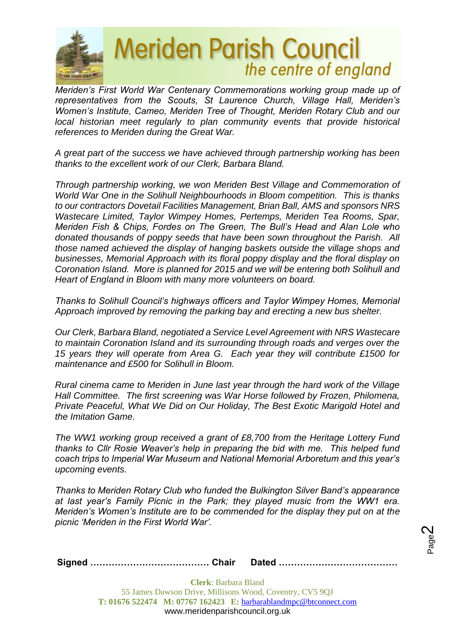

# **Meriden Parish Council** the centre of england

*Meriden's First World War Centenary Commemorations working group made up of representatives from the Scouts, St Laurence Church, Village Hall, Meriden's Women's Institute, Cameo, Meriden Tree of Thought, Meriden Rotary Club and our local historian meet regularly to plan community events that provide historical references to Meriden during the Great War.*

*A great part of the success we have achieved through partnership working has been thanks to the excellent work of our Clerk, Barbara Bland.*

*Through partnership working, we won Meriden Best Village and Commemoration of World War One in the Solihull Neighbourhoods in Bloom competition. This is thanks to our contractors Dovetail Facilities Management, Brian Ball, AMS and sponsors NRS Wastecare Limited, Taylor Wimpey Homes, Pertemps, Meriden Tea Rooms, Spar, Meriden Fish & Chips, Fordes on The Green, The Bull's Head and Alan Lole who donated thousands of poppy seeds that have been sown throughout the Parish. All those named achieved the display of hanging baskets outside the village shops and businesses, Memorial Approach with its floral poppy display and the floral display on Coronation Island. More is planned for 2015 and we will be entering both Solihull and Heart of England in Bloom with many more volunteers on board.*

*Thanks to Solihull Council's highways officers and Taylor Wimpey Homes, Memorial Approach improved by removing the parking bay and erecting a new bus shelter.*

*Our Clerk, Barbara Bland, negotiated a Service Level Agreement with NRS Wastecare to maintain Coronation Island and its surrounding through roads and verges over the 15 years they will operate from Area G. Each year they will contribute £1500 for maintenance and £500 for Solihull in Bloom.* 

*Rural cinema came to Meriden in June last year through the hard work of the Village Hall Committee. The first screening was War Horse followed by Frozen, Philomena, Private Peaceful, What We Did on Our Holiday, The Best Exotic Marigold Hotel and the Imitation Game.*

*The WW1 working group received a grant of £8,700 from the Heritage Lottery Fund thanks to Cllr Rosie Weaver's help in preparing the bid with me. This helped fund coach trips to Imperial War Museum and National Memorial Arboretum and this year's upcoming events.*

*Thanks to Meriden Rotary Club who funded the Bulkington Silver Band's appearance at last year's Family Picnic in the Park; they played music from the WW1 era. Meriden's Women's Institute are to be commended for the display they put on at the picnic 'Meriden in the First World War'.*

Page  $\boldsymbol{\sim}$ 

**Signed ………………………………… Chair Dated …………………………………**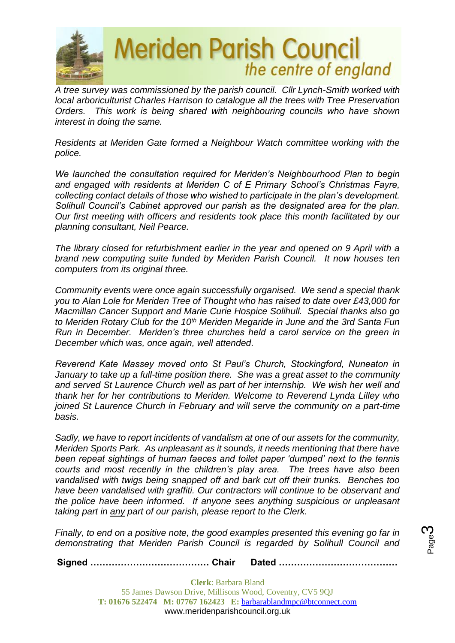

*A tree survey was commissioned by the parish council. Cllr Lynch-Smith worked with local arboriculturist Charles Harrison to catalogue all the trees with Tree Preservation Orders. This work is being shared with neighbouring councils who have shown interest in doing the same.*

*Residents at Meriden Gate formed a Neighbour Watch committee working with the police.*

*We launched the consultation required for Meriden's Neighbourhood Plan to begin and engaged with residents at Meriden C of E Primary School's Christmas Fayre, collecting contact details of those who wished to participate in the plan's development. Solihull Council's Cabinet approved our parish as the designated area for the plan. Our first meeting with officers and residents took place this month facilitated by our planning consultant, Neil Pearce.*

*The library closed for refurbishment earlier in the year and opened on 9 April with a brand new computing suite funded by Meriden Parish Council. It now houses ten computers from its original three.*

*Community events were once again successfully organised. We send a special thank you to Alan Lole for Meriden Tree of Thought who has raised to date over £43,000 for Macmillan Cancer Support and Marie Curie Hospice Solihull. Special thanks also go to Meriden Rotary Club for the 10th Meriden Megaride in June and the 3rd Santa Fun Run in December. Meriden's three churches held a carol service on the green in December which was, once again, well attended.*

*Reverend Kate Massey moved onto St Paul's Church, Stockingford, Nuneaton in January to take up a full-time position there. She was a great asset to the community and served St Laurence Church well as part of her internship. We wish her well and thank her for her contributions to Meriden. Welcome to Reverend Lynda Lilley who joined St Laurence Church in February and will serve the community on a part-time basis.*

*Sadly, we have to report incidents of vandalism at one of our assets for the community, Meriden Sports Park. As unpleasant as it sounds, it needs mentioning that there have been repeat sightings of human faeces and toilet paper 'dumped' next to the tennis courts and most recently in the children's play area. The trees have also been vandalised with twigs being snapped off and bark cut off their trunks. Benches too have been vandalised with graffiti. Our contractors will continue to be observant and the police have been informed. If anyone sees anything suspicious or unpleasant taking part in any part of our parish, please report to the Clerk.*

*Finally, to end on a positive note, the good examples presented this evening go far in demonstrating that Meriden Parish Council is regarded by Solihull Council and* 

Page ო

**Signed ………………………………… Chair Dated …………………………………**